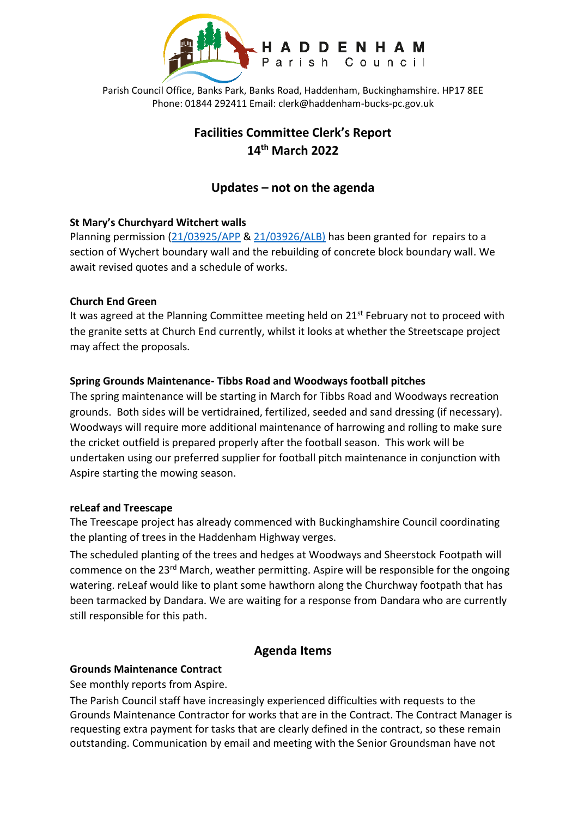

Parish Council Office, Banks Park, Banks Road, Haddenham, Buckinghamshire. HP17 8EE Phone: 01844 292411 Email: clerk@haddenham-bucks-pc.gov.uk

# **Facilities Committee Clerk's Report 14th March 2022**

## **Updates – not on the agenda**

## **St Mary's Churchyard Witchert walls**

Planning permission [\(21/03925/APP](https://publicaccess.aylesburyvaledc.gov.uk/online-applications/applicationDetails.do?activeTab=summary&keyVal=R0GJ77CLH9A00&prevPage=inTray) & [21/03926/ALB\)](https://publicaccess.aylesburyvaledc.gov.uk/online-applications/applicationDetails.do?activeTab=summary&keyVal=R0GJ7GCLH9B00&prevPage=inTray) has been granted for repairs to a section of Wychert boundary wall and the rebuilding of concrete block boundary wall. We await revised quotes and a schedule of works.

## **Church End Green**

It was agreed at the Planning Committee meeting held on  $21<sup>st</sup>$  February not to proceed with the granite setts at Church End currently, whilst it looks at whether the Streetscape project may affect the proposals.

## **Spring Grounds Maintenance- Tibbs Road and Woodways football pitches**

The spring maintenance will be starting in March for Tibbs Road and Woodways recreation grounds. Both sides will be vertidrained, fertilized, seeded and sand dressing (if necessary). Woodways will require more additional maintenance of harrowing and rolling to make sure the cricket outfield is prepared properly after the football season. This work will be undertaken using our preferred supplier for football pitch maintenance in conjunction with Aspire starting the mowing season.

## **reLeaf and Treescape**

The Treescape project has already commenced with Buckinghamshire Council coordinating the planting of trees in the Haddenham Highway verges.

The scheduled planting of the trees and hedges at Woodways and Sheerstock Footpath will commence on the 23<sup>rd</sup> March, weather permitting. Aspire will be responsible for the ongoing watering. reLeaf would like to plant some hawthorn along the Churchway footpath that has been tarmacked by Dandara. We are waiting for a response from Dandara who are currently still responsible for this path.

## **Agenda Items**

## **Grounds Maintenance Contract**

See monthly reports from Aspire.

The Parish Council staff have increasingly experienced difficulties with requests to the Grounds Maintenance Contractor for works that are in the Contract. The Contract Manager is requesting extra payment for tasks that are clearly defined in the contract, so these remain outstanding. Communication by email and meeting with the Senior Groundsman have not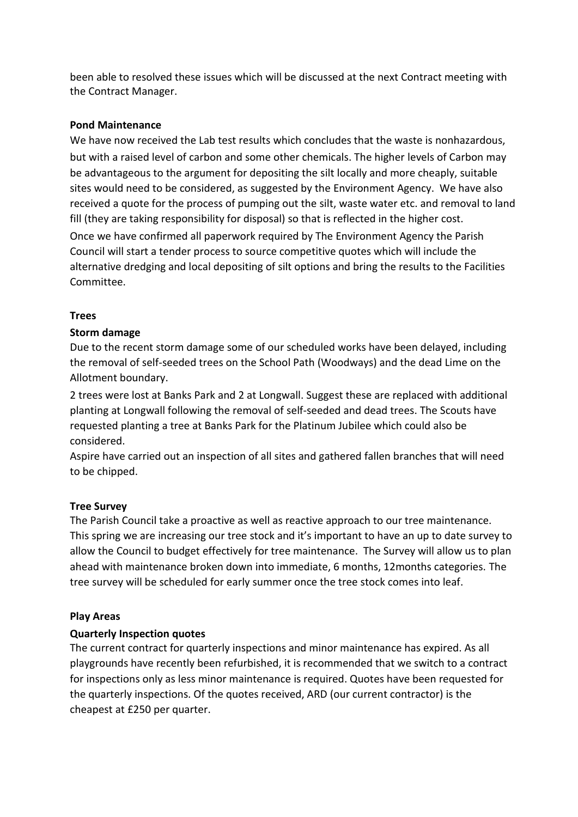been able to resolved these issues which will be discussed at the next Contract meeting with the Contract Manager.

### **Pond Maintenance**

We have now received the Lab test results which concludes that the waste is nonhazardous, but with a raised level of carbon and some other chemicals. The higher levels of Carbon may be advantageous to the argument for depositing the silt locally and more cheaply, suitable sites would need to be considered, as suggested by the Environment Agency. We have also received a quote for the process of pumping out the silt, waste water etc. and removal to land fill (they are taking responsibility for disposal) so that is reflected in the higher cost. Once we have confirmed all paperwork required by The Environment Agency the Parish

Council will start a tender process to source competitive quotes which will include the alternative dredging and local depositing of silt options and bring the results to the Facilities Committee.

## **Trees**

#### **Storm damage**

Due to the recent storm damage some of our scheduled works have been delayed, including the removal of self-seeded trees on the School Path (Woodways) and the dead Lime on the Allotment boundary.

2 trees were lost at Banks Park and 2 at Longwall. Suggest these are replaced with additional planting at Longwall following the removal of self-seeded and dead trees. The Scouts have requested planting a tree at Banks Park for the Platinum Jubilee which could also be considered.

Aspire have carried out an inspection of all sites and gathered fallen branches that will need to be chipped.

#### **Tree Survey**

The Parish Council take a proactive as well as reactive approach to our tree maintenance. This spring we are increasing our tree stock and it's important to have an up to date survey to allow the Council to budget effectively for tree maintenance. The Survey will allow us to plan ahead with maintenance broken down into immediate, 6 months, 12months categories. The tree survey will be scheduled for early summer once the tree stock comes into leaf.

#### **Play Areas**

## **Quarterly Inspection quotes**

The current contract for quarterly inspections and minor maintenance has expired. As all playgrounds have recently been refurbished, it is recommended that we switch to a contract for inspections only as less minor maintenance is required. Quotes have been requested for the quarterly inspections. Of the quotes received, ARD (our current contractor) is the cheapest at £250 per quarter.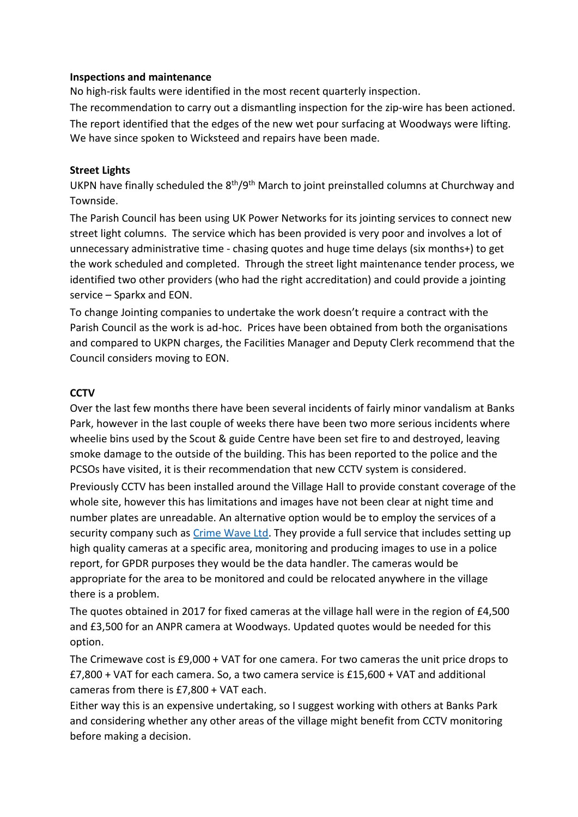#### **Inspections and maintenance**

No high-risk faults were identified in the most recent quarterly inspection. The recommendation to carry out a dismantling inspection for the zip-wire has been actioned. The report identified that the edges of the new wet pour surfacing at Woodways were lifting. We have since spoken to Wicksteed and repairs have been made.

### **Street Lights**

UKPN have finally scheduled the 8<sup>th</sup>/9<sup>th</sup> March to joint preinstalled columns at Churchway and Townside.

The Parish Council has been using UK Power Networks for its jointing services to connect new street light columns. The service which has been provided is very poor and involves a lot of unnecessary administrative time - chasing quotes and huge time delays (six months+) to get the work scheduled and completed. Through the street light maintenance tender process, we identified two other providers (who had the right accreditation) and could provide a jointing service – Sparkx and EON.

To change Jointing companies to undertake the work doesn't require a contract with the Parish Council as the work is ad-hoc. Prices have been obtained from both the organisations and compared to UKPN charges, the Facilities Manager and Deputy Clerk recommend that the Council considers moving to EON.

## **CCTV**

Over the last few months there have been several incidents of fairly minor vandalism at Banks Park, however in the last couple of weeks there have been two more serious incidents where wheelie bins used by the Scout & guide Centre have been set fire to and destroyed, leaving smoke damage to the outside of the building. This has been reported to the police and the PCSOs have visited, it is their recommendation that new CCTV system is considered.

Previously CCTV has been installed around the Village Hall to provide constant coverage of the whole site, however this has limitations and images have not been clear at night time and number plates are unreadable. An alternative option would be to employ the services of a security company such as [Crime Wave Ltd.](https://www.crimewaveltd.co.uk/police-localauthority-charities.html) They provide a full service that includes setting up high quality cameras at a specific area, monitoring and producing images to use in a police report, for GPDR purposes they would be the data handler. The cameras would be appropriate for the area to be monitored and could be relocated anywhere in the village there is a problem.

The quotes obtained in 2017 for fixed cameras at the village hall were in the region of £4,500 and £3,500 for an ANPR camera at Woodways. Updated quotes would be needed for this option.

The Crimewave cost is £9,000 + VAT for one camera. For two cameras the unit price drops to £7,800 + VAT for each camera. So, a two camera service is £15,600 + VAT and additional cameras from there is £7,800 + VAT each.

Either way this is an expensive undertaking, so I suggest working with others at Banks Park and considering whether any other areas of the village might benefit from CCTV monitoring before making a decision.